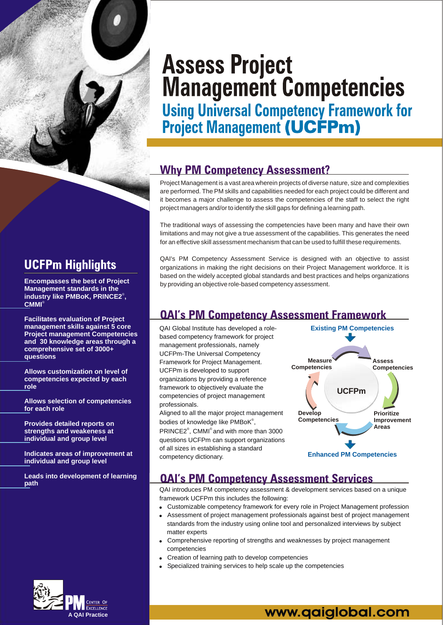

# **UCFPm Highlights**

**Encompasses the best of Project Management standards in the**  industry like PMBoK, PRINCE2<sup>®</sup>, **CMMI** ®

**Facilitates evaluation of Project management skills against 5 core Project management Competencies and 30 knowledge areas through a comprehensive set of 3000+ questions**

**Allows customization on level of competencies expected by each role**

**Allows selection of competencies for each role**

**Provides detailed reports on strengths and weakeness at individual and group level**

**Indicates areas of improvement at individual and group level**

**Leads into development of learning path**

# **Assess Project Management Competencies**

**Using Universal Competency Framework for<br>Project Management (UCFPm)** 

# **Why PM Competency Assessment?**

Project Management is a vast area wherein projects of diverse nature, size and complexities are performed. The PM skills and capabilities needed for each project could be different and it becomes a major challenge to assess the competencies of the staff to select the right project managers and/or to identify the skill gaps for defining a learning path.

The traditional ways of assessing the competencies have been many and have their own limitations and may not give a true assessment of the capabilities. This generates the need for an effective skill assessment mechanism that can be used to fulfill these requirements.

QAI's PM Competency Assessment Service is designed with an objective to assist organizations in making the right decisions on their Project Management workforce. It is based on the widely accepted global standards and best practices and helps organizations by providing an objective role-based competency assessment.

# **QAI's PM Competency Assessment Framework**

QAI Global Institute has developed a rolebased competency framework for project management professionals, namely UCFPm-The Universal Competency Framework for Project Management. UCFPm is developed to support organizations by providing a reference framework to objectively evaluate the competencies of project management professionals.

Aligned to all the major project management bodies of knowledge like  $\mathsf{PMBoK}^\circ$ ,

 $PRINCE2^{\circ}$ , CMMI $^{\circ}$  and with more than 3000 questions UCFPm can support organizations of all sizes in establishing a standard competency dictionary.



# **QAI's PM Competency Assessment Services**

QAI introduces PM competency assessment & development services based on a unique framework UCFPm this includes the following:

- ! Customizable competency framework for every role in Project Management profession
- ! Assessment of project management professionals against best of project management standards from the industry using online tool and personalized interviews by subject matter experts
- Comprehensive reporting of strengths and weaknesses by project management competencies
- ! Creation of learning path to develop competencies
- Specialized training services to help scale up the competencies



# www.qaiglobal.com